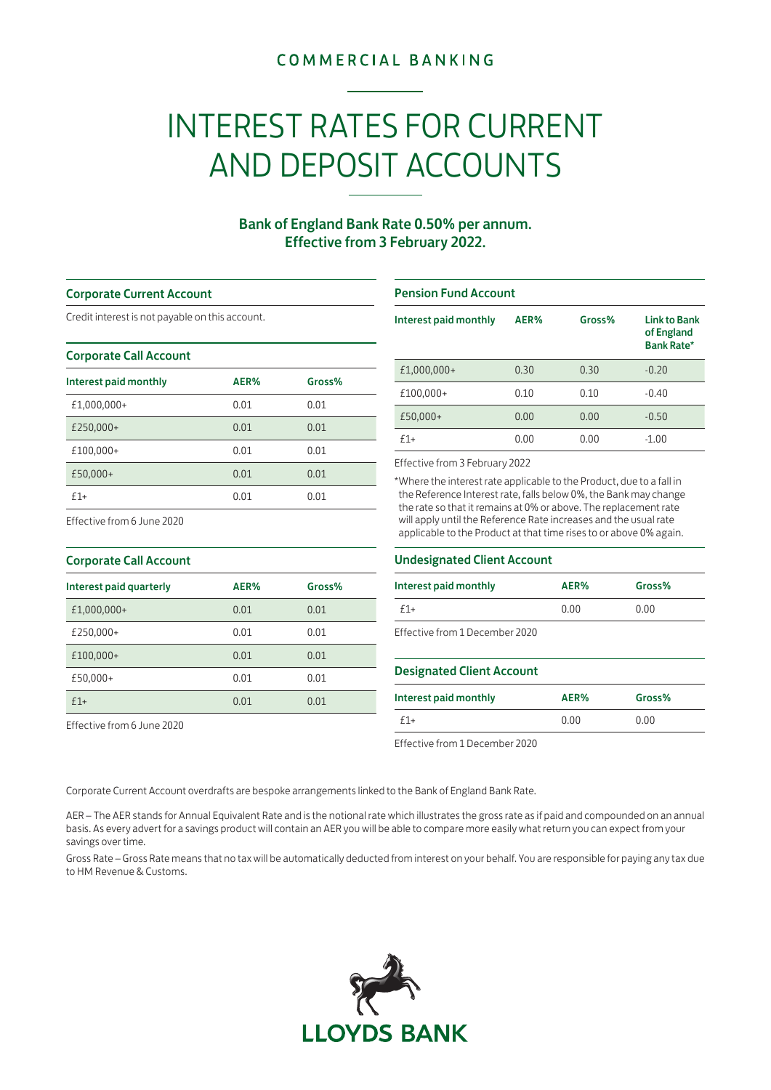## **COMMERCIAL BANKING**

# INTEREST RATES FOR CURRENT AND DEPOSIT ACCOUNTS

### Bank of England Bank Rate 0.50% per annum. Effective from 3 February 2022.

#### Corporate Current Account

Credit interest is not payable on this account.

#### Corporate Call Account

| Interest paid monthly | AER% | Gross% |
|-----------------------|------|--------|
| £1,000,000+           | 0.01 | 0.01   |
| £250,000+             | 0.01 | 0.01   |
| £100,000+             | 0.01 | 0.01   |
| £50,000+              | 0.01 | 0.01   |
| $f1+$                 | 0.01 | 0.01   |

#### Pension Fund Account

| Interest paid monthly | AER% | Gross% | <b>Link to Bank</b><br>of England<br><b>Bank Rate*</b> |
|-----------------------|------|--------|--------------------------------------------------------|
| £1,000,000+           | 0.30 | 0.30   | $-0.20$                                                |
| £100,000+             | 0.10 | 0.10   | $-0.40$                                                |
| £50,000+              | 0.00 | 0.00   | $-0.50$                                                |
| $f1+$                 | 0.00 | 0.00   | $-1.00$                                                |

#### Effective from 3 February 2022

\*Where the interest rate applicable to the Product, due to a fall in the Reference Interest rate, falls below 0%, the Bank may change the rate so that it remains at 0% or above. The replacement rate will apply until the Reference Rate increases and the usual rate applicable to the Product at that time rises to or above 0% again.

# Corporate Call Account

Effective from 6 June 2020

| __.__________________ |        |  |
|-----------------------|--------|--|
| AER%                  | Gross% |  |
| 0.01                  | 0.01   |  |
| 0.01                  | 0.01   |  |
| 0.01                  | 0.01   |  |
| 0.01                  | 0.01   |  |
| 0.01                  | 0.01   |  |
|                       |        |  |

Effective from 6 June 2020

#### Undesignated Client Account

| Interest paid monthly          | AER% | Gross% |
|--------------------------------|------|--------|
| $f1+$                          | 0.00 | 0.00   |
| Effective from 1 December 2020 |      |        |

#### Designated Client Account

| Interest paid monthly | AER% | Gross% |
|-----------------------|------|--------|
| $f1+$                 | 0.00 | 0.00   |

Effective from 1 December 2020

Corporate Current Account overdrafts are bespoke arrangements linked to the Bank of England Bank Rate.

AER – The AER stands for Annual Equivalent Rate and is the notional rate which illustrates the gross rate as if paid and compounded on an annual basis. As every advert for a savings product will contain an AER you will be able to compare more easily what return you can expect from your savings over time.

Gross Rate – Gross Rate means that no tax will be automatically deducted from interest on your behalf. You are responsible for paying any tax due to HM Revenue & Customs.